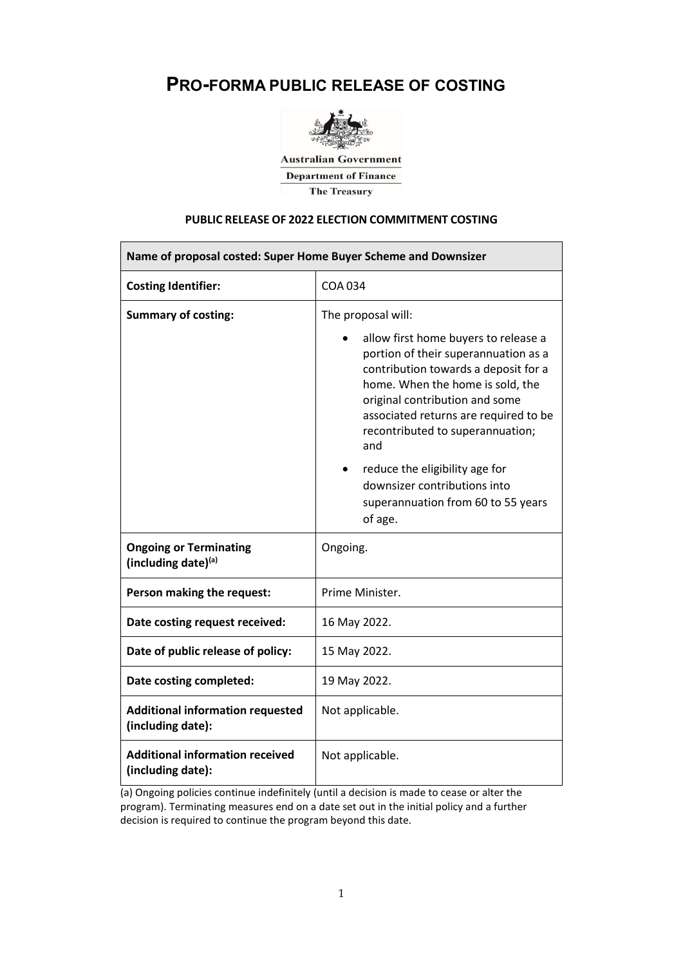# **PRO-FORMA PUBLIC RELEASE OF COSTING**



**Australian Government Department of Finance** The Treasury

# **PUBLIC RELEASE OF 2022 ELECTION COMMITMENT COSTING**

| Name of proposal costed: Super Home Buyer Scheme and Downsizer |                                                                                                                                                                                                                                                                                |  |  |  |  |  |
|----------------------------------------------------------------|--------------------------------------------------------------------------------------------------------------------------------------------------------------------------------------------------------------------------------------------------------------------------------|--|--|--|--|--|
| <b>Costing Identifier:</b>                                     | <b>COA 034</b>                                                                                                                                                                                                                                                                 |  |  |  |  |  |
| <b>Summary of costing:</b>                                     | The proposal will:                                                                                                                                                                                                                                                             |  |  |  |  |  |
|                                                                | allow first home buyers to release a<br>portion of their superannuation as a<br>contribution towards a deposit for a<br>home. When the home is sold, the<br>original contribution and some<br>associated returns are required to be<br>recontributed to superannuation;<br>and |  |  |  |  |  |
|                                                                | reduce the eligibility age for<br>٠<br>downsizer contributions into<br>superannuation from 60 to 55 years<br>of age.                                                                                                                                                           |  |  |  |  |  |
| <b>Ongoing or Terminating</b><br>(including date)(a)           | Ongoing.                                                                                                                                                                                                                                                                       |  |  |  |  |  |
| Person making the request:                                     | Prime Minister.                                                                                                                                                                                                                                                                |  |  |  |  |  |
| Date costing request received:                                 | 16 May 2022.                                                                                                                                                                                                                                                                   |  |  |  |  |  |
| Date of public release of policy:                              | 15 May 2022.                                                                                                                                                                                                                                                                   |  |  |  |  |  |
| Date costing completed:                                        | 19 May 2022.                                                                                                                                                                                                                                                                   |  |  |  |  |  |
| <b>Additional information requested</b><br>(including date):   | Not applicable.                                                                                                                                                                                                                                                                |  |  |  |  |  |
| <b>Additional information received</b><br>(including date):    | Not applicable.                                                                                                                                                                                                                                                                |  |  |  |  |  |

(a) Ongoing policies continue indefinitely (until a decision is made to cease or alter the program). Terminating measures end on a date set out in the initial policy and a further decision is required to continue the program beyond this date.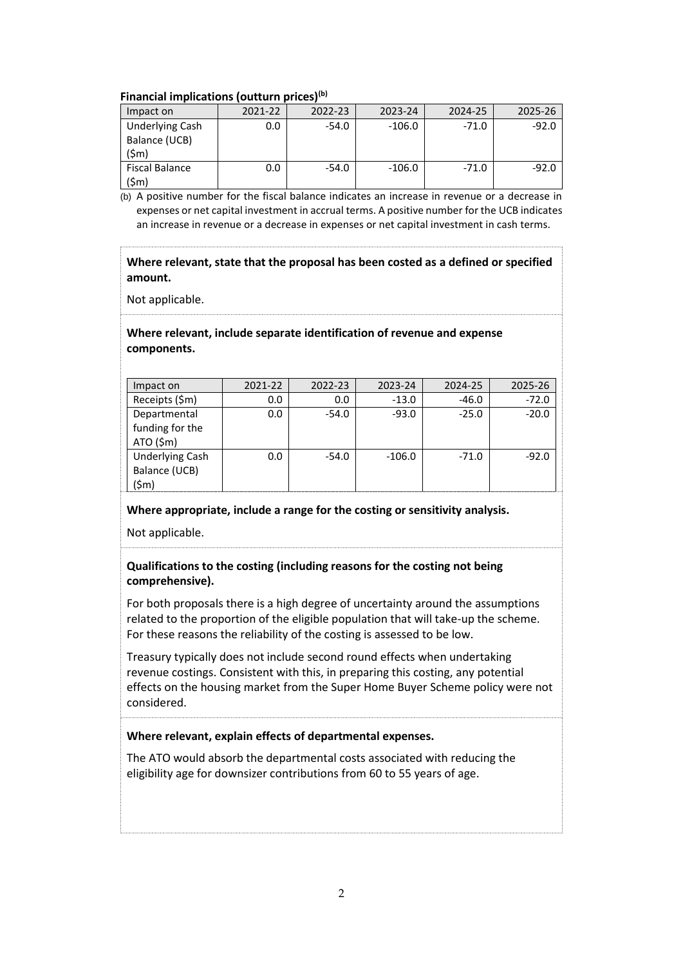## **Financial implications (outturn prices)(b)**

| Impact on              | 2021-22 | 2022-23 | 2023-24 | 2024-25 | ገን5-26 |
|------------------------|---------|---------|---------|---------|--------|
| <b>Underlying Cash</b> | 0 C     | -54.0   | -106.0  | $-71.0$ |        |
| Balance (UCB)          |         |         |         |         |        |
| <b>Fiscal Balance</b>  | າ ດ     | -54.0   | 106 በ   | -71.0   |        |

(b) A positive number for the fiscal balance indicates an increase in revenue or a decrease in expenses or net capital investment in accrual terms. A positive number for the UCB indicates an increase in revenue or a decrease in expenses or net capital investment in cash terms.

## **Where relevant, state that the proposal has been costed as a defined or specified amount.**

Not applicable.

## **Where relevant, include separate identification of revenue and expense components.**

| Impact on                                   | 2021-22 | 2022-23 | 2023-24  | 2024-25 | 2025-26 |
|---------------------------------------------|---------|---------|----------|---------|---------|
| Receipts (\$m)                              |         |         | -13.0    |         | -72 በ   |
| Departmental<br>funding for the<br>ATO (Sm) | n n     | -54.0   | -93.0    | $-250$  | -20.0   |
| <b>Underlying Cash</b><br>Balance (UCB)     | n n     | -54.0   | $-106.0$ | $-71.0$ |         |

## **Where appropriate, include a range for the costing or sensitivity analysis.**

Not applicable.

# **Qualifications to the costing (including reasons for the costing not being comprehensive).**

For both proposals there is a high degree of uncertainty around the assumptions related to the proportion of the eligible population that will take-up the scheme. For these reasons the reliability of the costing is assessed to be low.

Treasury typically does not include second round effects when undertaking revenue costings. Consistent with this, in preparing this costing, any potential effects on the housing market from the Super Home Buyer Scheme policy were not considered.

# **Where relevant, explain effects of departmental expenses.**

The ATO would absorb the departmental costs associated with reducing the eligibility age for downsizer contributions from 60 to 55 years of age.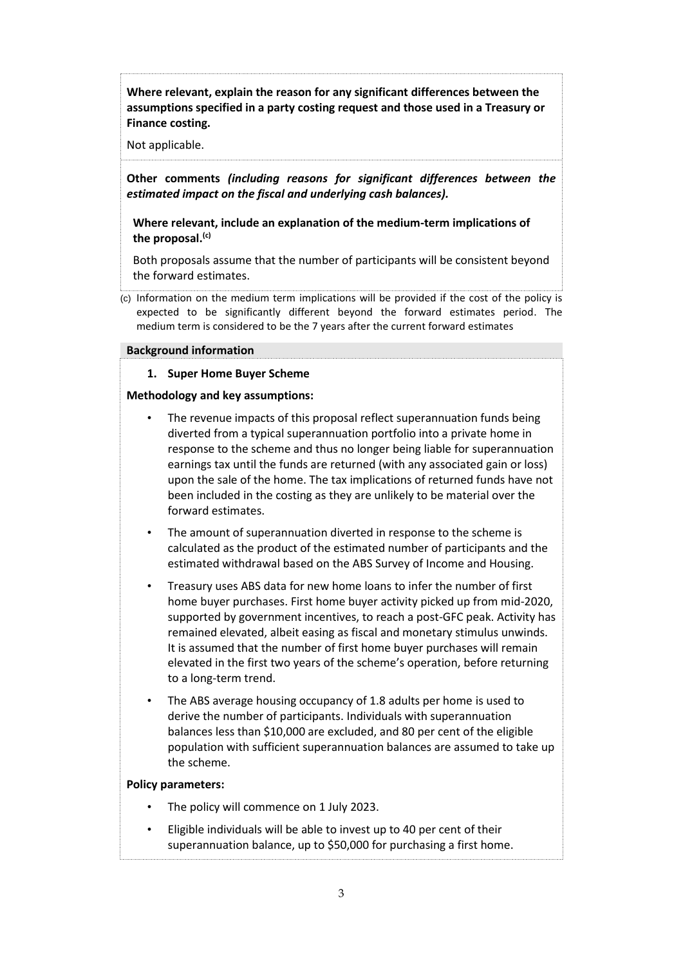**Where relevant, explain the reason for any significant differences between the assumptions specified in a party costing request and those used in a Treasury or Finance costing.**

Not applicable.

**Other comments** *(including reasons for significant differences between the estimated impact on the fiscal and underlying cash balances).*

**Where relevant, include an explanation of the medium-term implications of the proposal. (c)**

Both proposals assume that the number of participants will be consistent beyond the forward estimates.

(c) Information on the medium term implications will be provided if the cost of the policy is expected to be significantly different beyond the forward estimates period. The medium term is considered to be the 7 years after the current forward estimates

#### **Background information**

### **1. Super Home Buyer Scheme**

#### **Methodology and key assumptions:**

- The revenue impacts of this proposal reflect superannuation funds being diverted from a typical superannuation portfolio into a private home in response to the scheme and thus no longer being liable for superannuation earnings tax until the funds are returned (with any associated gain or loss) upon the sale of the home. The tax implications of returned funds have not been included in the costing as they are unlikely to be material over the forward estimates.
- The amount of superannuation diverted in response to the scheme is calculated as the product of the estimated number of participants and the estimated withdrawal based on the ABS Survey of Income and Housing.
- Treasury uses ABS data for new home loans to infer the number of first home buyer purchases. First home buyer activity picked up from mid-2020, supported by government incentives, to reach a post-GFC peak. Activity has remained elevated, albeit easing as fiscal and monetary stimulus unwinds. It is assumed that the number of first home buyer purchases will remain elevated in the first two years of the scheme's operation, before returning to a long-term trend.
- The ABS average housing occupancy of 1.8 adults per home is used to derive the number of participants. Individuals with superannuation balances less than \$10,000 are excluded, and 80 per cent of the eligible population with sufficient superannuation balances are assumed to take up the scheme.

## **Policy parameters:**

- The policy will commence on 1 July 2023.
- Eligible individuals will be able to invest up to 40 per cent of their superannuation balance, up to \$50,000 for purchasing a first home.